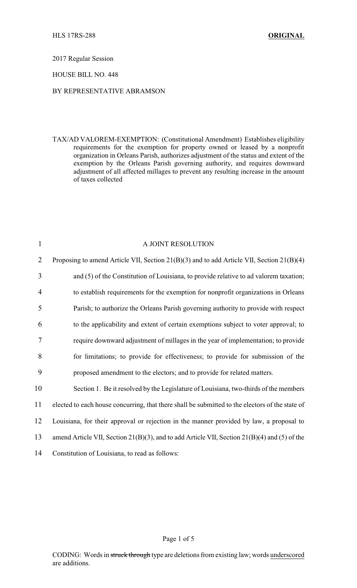2017 Regular Session

HOUSE BILL NO. 448

# BY REPRESENTATIVE ABRAMSON

TAX/AD VALOREM-EXEMPTION: (Constitutional Amendment) Establishes eligibility requirements for the exemption for property owned or leased by a nonprofit organization in Orleans Parish, authorizes adjustment of the status and extent of the exemption by the Orleans Parish governing authority, and requires downward adjustment of all affected millages to prevent any resulting increase in the amount of taxes collected

| $\mathbf{1}$   | A JOINT RESOLUTION                                                                                |
|----------------|---------------------------------------------------------------------------------------------------|
| $\overline{2}$ | Proposing to amend Article VII, Section 21(B)(3) and to add Article VII, Section 21(B)(4)         |
| 3              | and (5) of the Constitution of Louisiana, to provide relative to ad valorem taxation;             |
| $\overline{4}$ | to establish requirements for the exemption for nonprofit organizations in Orleans                |
| 5              | Parish; to authorize the Orleans Parish governing authority to provide with respect               |
| 6              | to the applicability and extent of certain exemptions subject to voter approval; to               |
| 7              | require downward adjustment of millages in the year of implementation; to provide                 |
| 8              | for limitations; to provide for effectiveness; to provide for submission of the                   |
| 9              | proposed amendment to the electors; and to provide for related matters.                           |
| 10             | Section 1. Be it resolved by the Legislature of Louisiana, two-thirds of the members              |
| 11             | elected to each house concurring, that there shall be submitted to the electors of the state of   |
| 12             | Louisiana, for their approval or rejection in the manner provided by law, a proposal to           |
| 13             | amend Article VII, Section $21(B)(3)$ , and to add Article VII, Section $21(B)(4)$ and (5) of the |
| 14             | Constitution of Louisiana, to read as follows:                                                    |

#### Page 1 of 5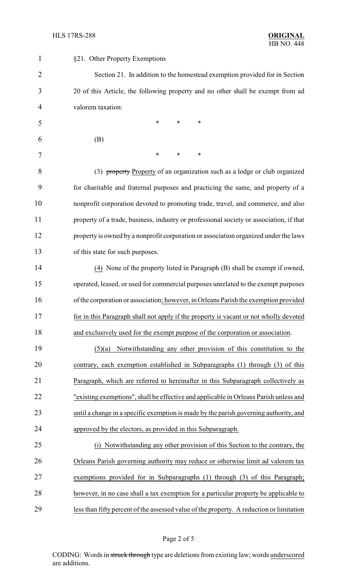| 1              | §21. Other Property Exemptions                                                           |
|----------------|------------------------------------------------------------------------------------------|
| $\overline{2}$ | Section 21. In addition to the homestead exemption provided for in Section               |
| 3              | 20 of this Article, the following property and no other shall be exempt from ad          |
| 4              | valorem taxation:                                                                        |
| 5              | $\ast$<br>$\ast$<br>*                                                                    |
| 6              | (B)                                                                                      |
| 7              | *<br>$\ast$<br>*                                                                         |
| 8              | (3) property Property of an organization such as a lodge or club organized               |
| 9              | for charitable and fraternal purposes and practicing the same, and property of a         |
| 10             | nonprofit corporation devoted to promoting trade, travel, and commerce, and also         |
| 11             | property of a trade, business, industry or professional society or association, if that  |
| 12             | property is owned by a nonprofit corporation or association organized under the laws     |
| 13             | of this state for such purposes.                                                         |
| 14             | (4) None of the property listed in Paragraph (B) shall be exempt if owned,               |
| 15             | operated, leased, or used for commercial purposes unrelated to the exempt purposes       |
| 16             | of the corporation or association; however, in Orleans Parish the exemption provided     |
| 17             | for in this Paragraph shall not apply if the property is vacant or not wholly devoted    |
| 18             | and exclusively used for the exempt purpose of the corporation or association.           |
| 19             | Notwithstanding any other provision of this constitution to the<br>(5)(a)                |
| 20             | contrary, each exemption established in Subparagraphs (1) through (3) of this            |
| 21             | Paragraph, which are referred to hereinafter in this Subparagraph collectively as        |
| 22             | "existing exemptions", shall be effective and applicable in Orleans Parish unless and    |
| 23             | until a change in a specific exemption is made by the parish governing authority, and    |
| 24             | approved by the electors, as provided in this Subparagraph.                              |
| 25             | (i) Notwithstanding any other provision of this Section to the contrary, the             |
| 26             | Orleans Parish governing authority may reduce or otherwise limit ad valorem tax          |
| 27             | exemptions provided for in Subparagraphs (1) through (3) of this Paragraph;              |
| 28             | however, in no case shall a tax exemption for a particular property be applicable to     |
| 29             | less than fifty percent of the assessed value of the property. A reduction or limitation |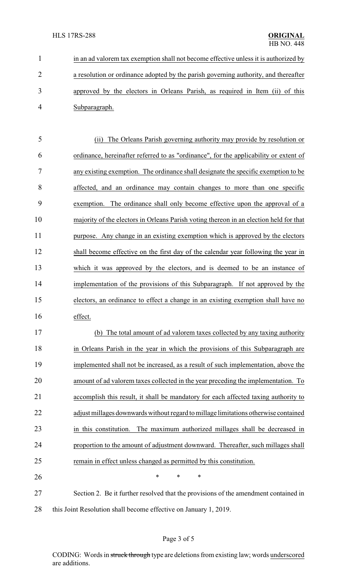in an ad valorem tax exemption shall not become effective unless it is authorized by a resolution or ordinance adopted by the parish governing authority, and thereafter approved by the electors in Orleans Parish, as required in Item (ii) of this Subparagraph.

 (ii) The Orleans Parish governing authority may provide by resolution or ordinance, hereinafter referred to as "ordinance", for the applicability or extent of any existing exemption. The ordinance shall designate the specific exemption to be affected, and an ordinance may contain changes to more than one specific exemption. The ordinance shall only become effective upon the approval of a majority of the electors in Orleans Parish voting thereon in an election held for that purpose. Any change in an existing exemption which is approved by the electors shall become effective on the first day of the calendar year following the year in which it was approved by the electors, and is deemed to be an instance of implementation of the provisions of this Subparagraph. If not approved by the electors, an ordinance to effect a change in an existing exemption shall have no effect.

 (b) The total amount of ad valorem taxes collected by any taxing authority in Orleans Parish in the year in which the provisions of this Subparagraph are implemented shall not be increased, as a result of such implementation, above the amount of ad valorem taxes collected in the year preceding the implementation. To accomplish this result, it shall be mandatory for each affected taxing authority to adjust millages downwardswithout regard to millage limitations otherwise contained in this constitution. The maximum authorized millages shall be decreased in proportion to the amount of adjustment downward. Thereafter, such millages shall remain in effect unless changed as permitted by this constitution.

**\*** \* \* \*

 Section 2. Be it further resolved that the provisions of the amendment contained in 28 this Joint Resolution shall become effective on January 1, 2019.

# Page 3 of 5

CODING: Words in struck through type are deletions from existing law; words underscored are additions.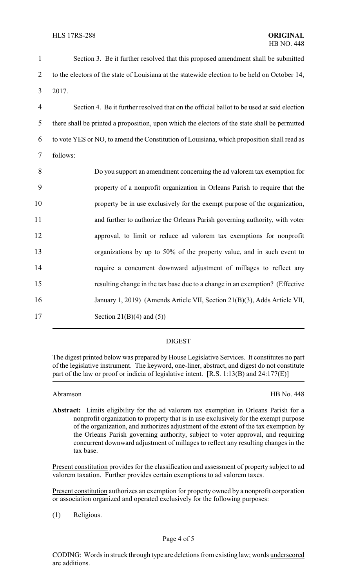| $\mathbf{1}$   | Section 3. Be it further resolved that this proposed amendment shall be submitted             |
|----------------|-----------------------------------------------------------------------------------------------|
| $\overline{2}$ | to the electors of the state of Louisiana at the statewide election to be held on October 14, |
| 3              | 2017.                                                                                         |
| $\overline{4}$ | Section 4. Be it further resolved that on the official ballot to be used at said election     |
| 5              | there shall be printed a proposition, upon which the electors of the state shall be permitted |
| 6              | to vote YES or NO, to amend the Constitution of Louisiana, which proposition shall read as    |
| 7              | follows:                                                                                      |
| 8              | Do you support an amendment concerning the ad valorem tax exemption for                       |
| 9              | property of a nonprofit organization in Orleans Parish to require that the                    |
| 10             | property be in use exclusively for the exempt purpose of the organization,                    |
| 11             | and further to authorize the Orleans Parish governing authority, with voter                   |
| 12             | approval, to limit or reduce ad valorem tax exemptions for nonprofit                          |
| 13             | organizations by up to 50% of the property value, and in such event to                        |
| 14             | require a concurrent downward adjustment of millages to reflect any                           |
| 15             | resulting change in the tax base due to a change in an exemption? (Effective                  |
| 16             | January 1, 2019) (Amends Article VII, Section 21(B)(3), Adds Article VII,                     |
| 17             | Section 21(B)(4) and $(5)$ )                                                                  |

### DIGEST

The digest printed below was prepared by House Legislative Services. It constitutes no part of the legislative instrument. The keyword, one-liner, abstract, and digest do not constitute part of the law or proof or indicia of legislative intent. [R.S. 1:13(B) and 24:177(E)]

Abramson HB No. 448

**Abstract:** Limits eligibility for the ad valorem tax exemption in Orleans Parish for a nonprofit organization to property that is in use exclusively for the exempt purpose of the organization, and authorizes adjustment of the extent of the tax exemption by the Orleans Parish governing authority, subject to voter approval, and requiring concurrent downward adjustment of millages to reflect any resulting changes in the tax base.

Present constitution provides for the classification and assessment of property subject to ad valorem taxation. Further provides certain exemptions to ad valorem taxes.

Present constitution authorizes an exemption for property owned by a nonprofit corporation or association organized and operated exclusively for the following purposes:

(1) Religious.